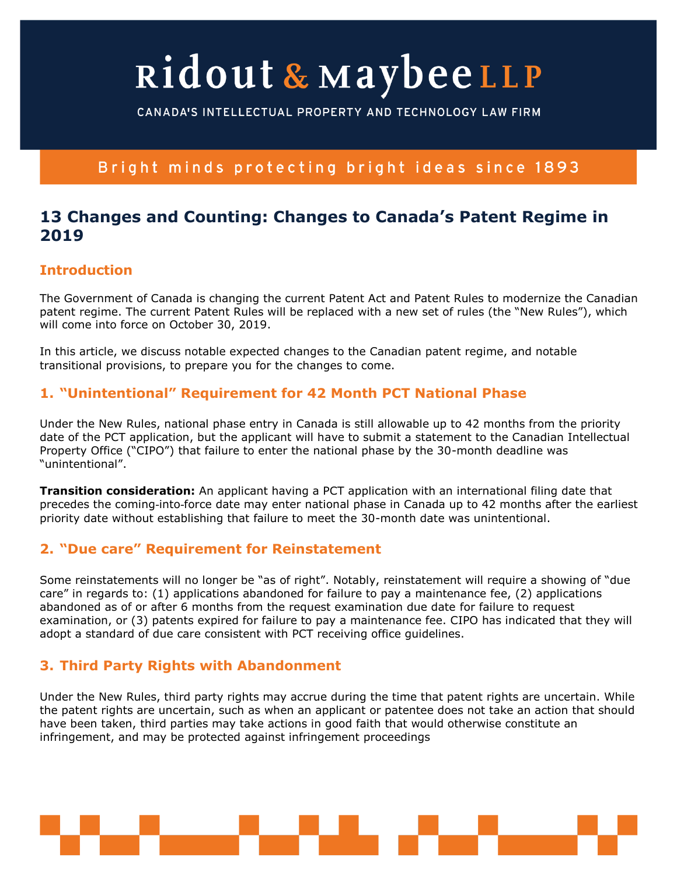# Ridout & MaybeeLLP

CANADA'S INTELLECTUAL PROPERTY AND TECHNOLOGY LAW FIRM

## Bright minds protecting bright ideas since 1893

## **13 Changes and Counting: Changes to Canada's Patent Regime in 2019**

#### **Introduction**

The Government of Canada is changing the current Patent Act and Patent Rules to modernize the Canadian patent regime. The current Patent Rules will be replaced with a new set of rules (the "New Rules"), which will come into force on October 30, 2019.

In this article, we discuss notable expected changes to the Canadian patent regime, and notable transitional provisions, to prepare you for the changes to come.

#### **1. "Unintentional" Requirement for 42 Month PCT National Phase**

Under the New Rules, national phase entry in Canada is still allowable up to 42 months from the priority date of the PCT application, but the applicant will have to submit a statement to the Canadian Intellectual Property Office ("CIPO") that failure to enter the national phase by the 30-month deadline was "unintentional".

**Transition consideration:** An applicant having a PCT application with an international filing date that precedes the coming-into-force date may enter national phase in Canada up to 42 months after the earliest priority date without establishing that failure to meet the 30-month date was unintentional.

### **2. "Due care" Requirement for Reinstatement**

Some reinstatements will no longer be "as of right". Notably, reinstatement will require a showing of "due care" in regards to: (1) applications abandoned for failure to pay a maintenance fee, (2) applications abandoned as of or after 6 months from the request examination due date for failure to request examination, or (3) patents expired for failure to pay a maintenance fee. CIPO has indicated that they will adopt a standard of due care consistent with PCT receiving office guidelines.

## **3. Third Party Rights with Abandonment**

Under the New Rules, third party rights may accrue during the time that patent rights are uncertain. While the patent rights are uncertain, such as when an applicant or patentee does not take an action that should have been taken, third parties may take actions in good faith that would otherwise constitute an infringement, and may be protected against infringement proceedings

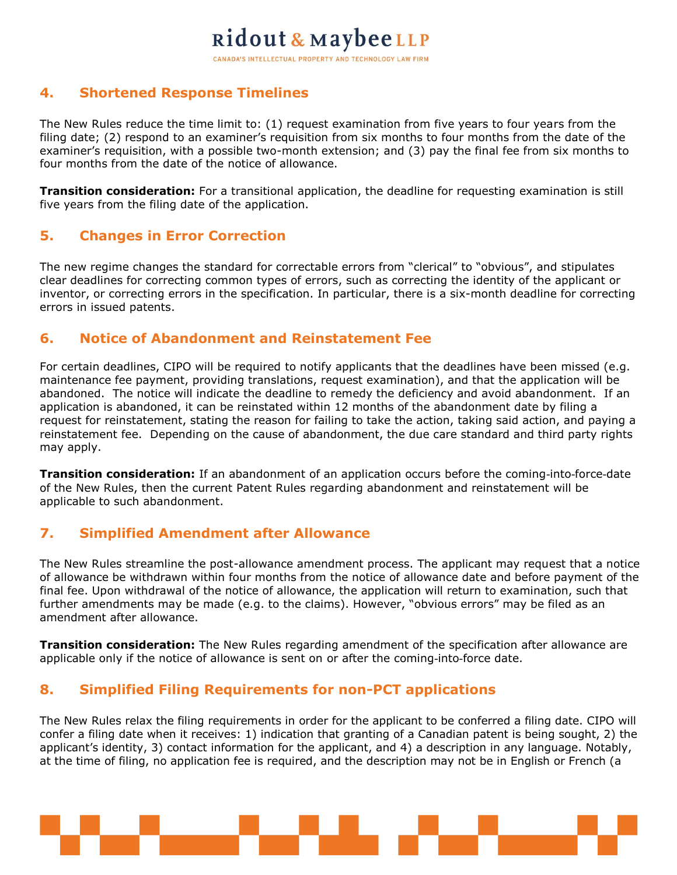## Ridout & MaybeeLLP CANADA'S INTELLECTUAL PROPERTY AND TECHNOLOGY LAW FIRM

#### **4. Shortened Response Timelines**

The New Rules reduce the time limit to: (1) request examination from five years to four years from the filing date; (2) respond to an examiner's requisition from six months to four months from the date of the examiner's requisition, with a possible two-month extension; and (3) pay the final fee from six months to four months from the date of the notice of allowance.

**Transition consideration:** For a transitional application, the deadline for requesting examination is still five years from the filing date of the application.

#### **5. Changes in Error Correction**

The new regime changes the standard for correctable errors from "clerical" to "obvious", and stipulates clear deadlines for correcting common types of errors, such as correcting the identity of the applicant or inventor, or correcting errors in the specification. In particular, there is a six-month deadline for correcting errors in issued patents.

#### **6. Notice of Abandonment and Reinstatement Fee**

For certain deadlines, CIPO will be required to notify applicants that the deadlines have been missed (e.g. maintenance fee payment, providing translations, request examination), and that the application will be abandoned. The notice will indicate the deadline to remedy the deficiency and avoid abandonment. If an application is abandoned, it can be reinstated within 12 months of the abandonment date by filing a request for reinstatement, stating the reason for failing to take the action, taking said action, and paying a reinstatement fee. Depending on the cause of abandonment, the due care standard and third party rights may apply.

**Transition consideration:** If an abandonment of an application occurs before the coming-into-force-date of the New Rules, then the current Patent Rules regarding abandonment and reinstatement will be applicable to such abandonment.

#### **7. Simplified Amendment after Allowance**

The New Rules streamline the post-allowance amendment process. The applicant may request that a notice of allowance be withdrawn within four months from the notice of allowance date and before payment of the final fee. Upon withdrawal of the notice of allowance, the application will return to examination, such that further amendments may be made (e.g. to the claims). However, "obvious errors" may be filed as an amendment after allowance.

**Transition consideration:** The New Rules regarding amendment of the specification after allowance are applicable only if the notice of allowance is sent on or after the coming-into-force date.

### **8. Simplified Filing Requirements for non-PCT applications**

The New Rules relax the filing requirements in order for the applicant to be conferred a filing date. CIPO will confer a filing date when it receives: 1) indication that granting of a Canadian patent is being sought, 2) the applicant's identity, 3) contact information for the applicant, and 4) a description in any language. Notably, at the time of filing, no application fee is required, and the description may not be in English or French (a